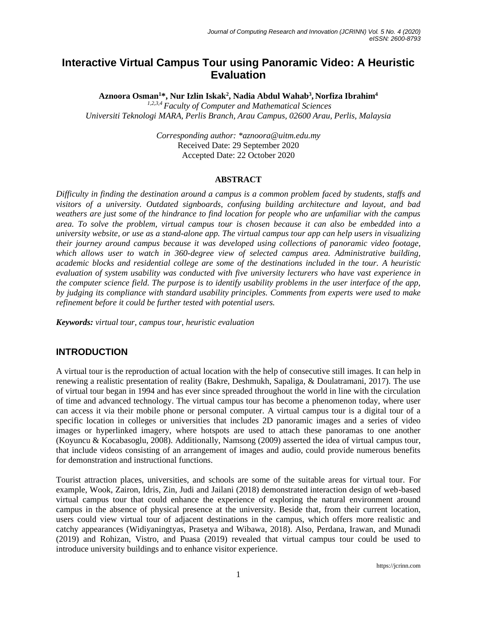# **Interactive Virtual Campus Tour using Panoramic Video: A Heuristic Evaluation**

**Aznoora Osman<sup>1</sup>\*, Nur Izlin Iskak<sup>2</sup> , Nadia Abdul Wahab<sup>3</sup> , Norfiza Ibrahim<sup>4</sup>**

*1,2,3,4 Faculty of Computer and Mathematical Sciences Universiti Teknologi MARA, Perlis Branch, Arau Campus, 02600 Arau, Perlis, Malaysia*

> *Corresponding author: \*aznoora@uitm.edu.my* Received Date: 29 September 2020 Accepted Date: 22 October 2020

#### **ABSTRACT**

*Difficulty in finding the destination around a campus is a common problem faced by students, staffs and visitors of a university. Outdated signboards, confusing building architecture and layout, and bad weathers are just some of the hindrance to find location for people who are unfamiliar with the campus area. To solve the problem, virtual campus tour is chosen because it can also be embedded into a university website, or use as a stand-alone app. The virtual campus tour app can help users in visualizing their journey around campus because it was developed using collections of panoramic video footage, which allows user to watch in 360-degree view of selected campus area. Administrative building, academic blocks and residential college are some of the destinations included in the tour. A heuristic evaluation of system usability was conducted with five university lecturers who have vast experience in the computer science field. The purpose is to identify usability problems in the user interface of the app, by judging its compliance with standard usability principles. Comments from experts were used to make refinement before it could be further tested with potential users.* 

*Keywords: virtual tour, campus tour, heuristic evaluation*

#### **INTRODUCTION**

A virtual tour is the reproduction of actual location with the help of consecutive still images. It can help in renewing a realistic presentation of reality (Bakre, Deshmukh, Sapaliga, & Doulatramani, 2017). The use of virtual tour began in 1994 and has ever since spreaded throughout the world in line with the circulation of time and advanced technology. The virtual campus tour has become a phenomenon today, where user can access it via their mobile phone or personal computer. A virtual campus tour is a digital tour of a specific location in colleges or universities that includes 2D panoramic images and a series of video images or hyperlinked imagery, where hotspots are used to attach these panoramas to one another (Koyuncu & Kocabasoglu, 2008). Additionally, Namsong (2009) asserted the idea of virtual campus tour, that include videos consisting of an arrangement of images and audio, could provide numerous benefits for demonstration and instructional functions.

Tourist attraction places, universities, and schools are some of the suitable areas for virtual tour. For example, Wook, Zairon, Idris, Zin, Judi and Jailani (2018) demonstrated interaction design of web-based virtual campus tour that could enhance the experience of exploring the natural environment around campus in the absence of physical presence at the university. Beside that, from their current location, users could view virtual tour of adjacent destinations in the campus, which offers more realistic and catchy appearances (Widiyaningtyas, Prasetya and Wibawa, 2018). Also, Perdana, Irawan, and Munadi (2019) and Rohizan, Vistro, and Puasa (2019) revealed that virtual campus tour could be used to introduce university buildings and to enhance visitor experience.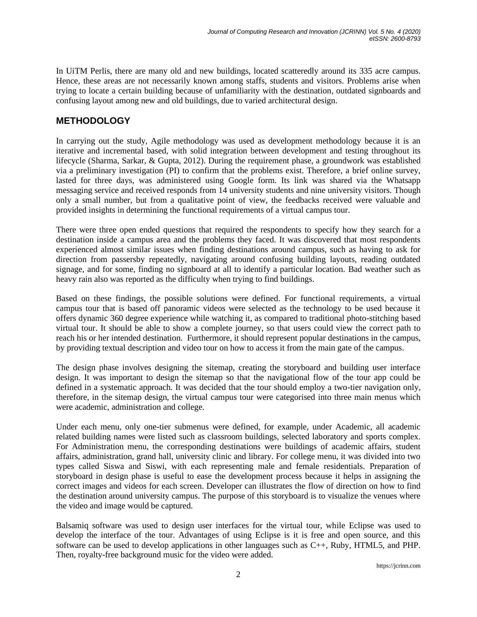In UiTM Perlis, there are many old and new buildings, located scatteredly around its 335 acre campus. Hence, these areas are not necessarily known among staffs, students and visitors. Problems arise when trying to locate a certain building because of unfamiliarity with the destination, outdated signboards and confusing layout among new and old buildings, due to varied architectural design.

# **METHODOLOGY**

In carrying out the study, Agile methodology was used as development methodology because it is an iterative and incremental based, with solid integration between development and testing throughout its lifecycle (Sharma, Sarkar, & Gupta, 2012). During the requirement phase, a groundwork was established via a preliminary investigation (PI) to confirm that the problems exist. Therefore, a brief online survey, lasted for three days, was administered using Google form. Its link was shared via the Whatsapp messaging service and received responds from 14 university students and nine university visitors. Though only a small number, but from a qualitative point of view, the feedbacks received were valuable and provided insights in determining the functional requirements of a virtual campus tour.

There were three open ended questions that required the respondents to specify how they search for a destination inside a campus area and the problems they faced. It was discovered that most respondents experienced almost similar issues when finding destinations around campus, such as having to ask for direction from passersby repeatedly, navigating around confusing building layouts, reading outdated signage, and for some, finding no signboard at all to identify a particular location. Bad weather such as heavy rain also was reported as the difficulty when trying to find buildings.

Based on these findings, the possible solutions were defined. For functional requirements, a virtual campus tour that is based off panoramic videos were selected as the technology to be used because it offers dynamic 360 degree experience while watching it, as compared to traditional photo-stitching based virtual tour. It should be able to show a complete journey, so that users could view the correct path to reach his or her intended destination. Furthermore, it should represent popular destinations in the campus, by providing textual description and video tour on how to access it from the main gate of the campus.

The design phase involves designing the sitemap, creating the storyboard and building user interface design. It was important to design the sitemap so that the navigational flow of the tour app could be defined in a systematic approach. It was decided that the tour should employ a two-tier navigation only, therefore, in the sitemap design, the virtual campus tour were categorised into three main menus which were academic, administration and college.

Under each menu, only one-tier submenus were defined, for example, under Academic, all academic related building names were listed such as classroom buildings, selected laboratory and sports complex. For Administration menu, the corresponding destinations were buildings of academic affairs, student affairs, administration, grand hall, university clinic and library. For college menu, it was divided into two types called Siswa and Siswi, with each representing male and female residentials. Preparation of storyboard in design phase is useful to ease the development process because it helps in assigning the correct images and videos for each screen. Developer can illustrates the flow of direction on how to find the destination around university campus. The purpose of this storyboard is to visualize the venues where the video and image would be captured.

Balsamiq software was used to design user interfaces for the virtual tour, while Eclipse was used to develop the interface of the tour. Advantages of using Eclipse is it is free and open source, and this software can be used to develop applications in other languages such as C++, Ruby, HTML5, and PHP. Then, royalty-free background music for the video were added.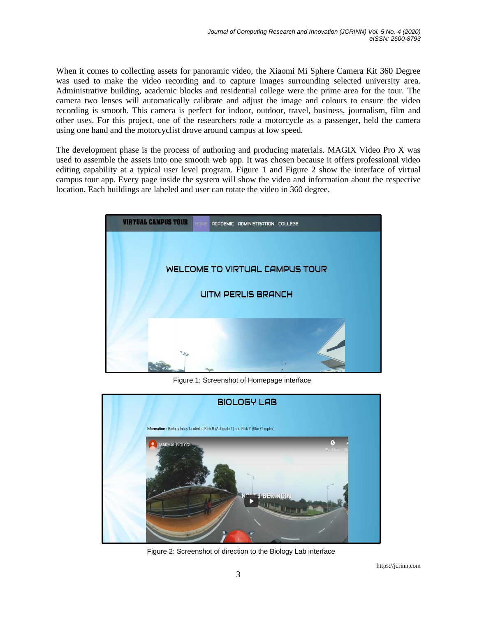When it comes to collecting assets for panoramic video, the Xiaomi Mi Sphere Camera Kit 360 Degree was used to make the video recording and to capture images surrounding selected university area. Administrative building, academic blocks and residential college were the prime area for the tour. The camera two lenses will automatically calibrate and adjust the image and colours to ensure the video recording is smooth. This camera is perfect for indoor, outdoor, travel, business, journalism, film and other uses. For this project, one of the researchers rode a motorcycle as a passenger, held the camera using one hand and the motorcyclist drove around campus at low speed.

The development phase is the process of authoring and producing materials. MAGIX Video Pro X was used to assemble the assets into one smooth web app. It was chosen because it offers professional video editing capability at a typical user level program. Figure 1 and Figure 2 show the interface of virtual campus tour app. Every page inside the system will show the video and information about the respective location. Each buildings are labeled and user can rotate the video in 360 degree.



Figure 1: Screenshot of Homepage interface



Figure 2: Screenshot of direction to the Biology Lab interface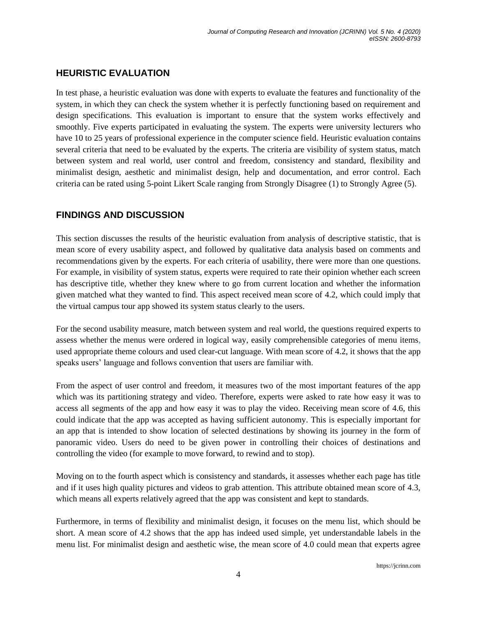# **HEURISTIC EVALUATION**

In test phase, a heuristic evaluation was done with experts to evaluate the features and functionality of the system, in which they can check the system whether it is perfectly functioning based on requirement and design specifications. This evaluation is important to ensure that the system works effectively and smoothly. Five experts participated in evaluating the system. The experts were university lecturers who have 10 to 25 years of professional experience in the computer science field. Heuristic evaluation contains several criteria that need to be evaluated by the experts. The criteria are visibility of system status, match between system and real world, user control and freedom, consistency and standard, flexibility and minimalist design, aesthetic and minimalist design, help and documentation, and error control. Each criteria can be rated using 5-point Likert Scale ranging from Strongly Disagree (1) to Strongly Agree (5).

# **FINDINGS AND DISCUSSION**

This section discusses the results of the heuristic evaluation from analysis of descriptive statistic, that is mean score of every usability aspect, and followed by qualitative data analysis based on comments and recommendations given by the experts. For each criteria of usability, there were more than one questions. For example, in visibility of system status, experts were required to rate their opinion whether each screen has descriptive title, whether they knew where to go from current location and whether the information given matched what they wanted to find. This aspect received mean score of 4.2, which could imply that the virtual campus tour app showed its system status clearly to the users.

For the second usability measure, match between system and real world, the questions required experts to assess whether the menus were ordered in logical way, easily comprehensible categories of menu items, used appropriate theme colours and used clear-cut language. With mean score of 4.2, it shows that the app speaks users' language and follows convention that users are familiar with.

From the aspect of user control and freedom, it measures two of the most important features of the app which was its partitioning strategy and video. Therefore, experts were asked to rate how easy it was to access all segments of the app and how easy it was to play the video. Receiving mean score of 4.6, this could indicate that the app was accepted as having sufficient autonomy. This is especially important for an app that is intended to show location of selected destinations by showing its journey in the form of panoramic video. Users do need to be given power in controlling their choices of destinations and controlling the video (for example to move forward, to rewind and to stop).

Moving on to the fourth aspect which is consistency and standards, it assesses whether each page has title and if it uses high quality pictures and videos to grab attention. This attribute obtained mean score of 4.3, which means all experts relatively agreed that the app was consistent and kept to standards.

Furthermore, in terms of flexibility and minimalist design, it focuses on the menu list, which should be short. A mean score of 4.2 shows that the app has indeed used simple, yet understandable labels in the menu list. For minimalist design and aesthetic wise, the mean score of 4.0 could mean that experts agree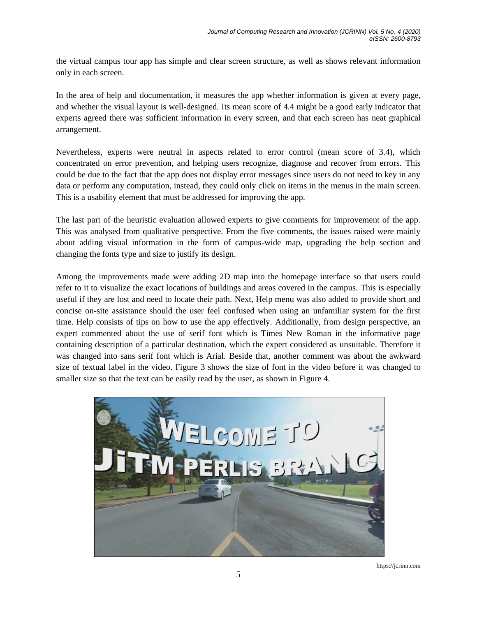the virtual campus tour app has simple and clear screen structure, as well as shows relevant information only in each screen.

In the area of help and documentation, it measures the app whether information is given at every page, and whether the visual layout is well-designed. Its mean score of 4.4 might be a good early indicator that experts agreed there was sufficient information in every screen, and that each screen has neat graphical arrangement.

Nevertheless, experts were neutral in aspects related to error control (mean score of 3.4), which concentrated on error prevention, and helping users recognize, diagnose and recover from errors. This could be due to the fact that the app does not display error messages since users do not need to key in any data or perform any computation, instead, they could only click on items in the menus in the main screen. This is a usability element that must be addressed for improving the app.

The last part of the heuristic evaluation allowed experts to give comments for improvement of the app. This was analysed from qualitative perspective. From the five comments, the issues raised were mainly about adding visual information in the form of campus-wide map, upgrading the help section and changing the fonts type and size to justify its design.

Among the improvements made were adding 2D map into the homepage interface so that users could refer to it to visualize the exact locations of buildings and areas covered in the campus. This is especially useful if they are lost and need to locate their path. Next, Help menu was also added to provide short and concise on-site assistance should the user feel confused when using an unfamiliar system for the first time. Help consists of tips on how to use the app effectively. Additionally, from design perspective, an expert commented about the use of serif font which is Times New Roman in the informative page containing description of a particular destination, which the expert considered as unsuitable. Therefore it was changed into sans serif font which is Arial. Beside that, another comment was about the awkward size of textual label in the video. Figure 3 shows the size of font in the video before it was changed to smaller size so that the text can be easily read by the user, as shown in Figure 4.



https://jcrinn.com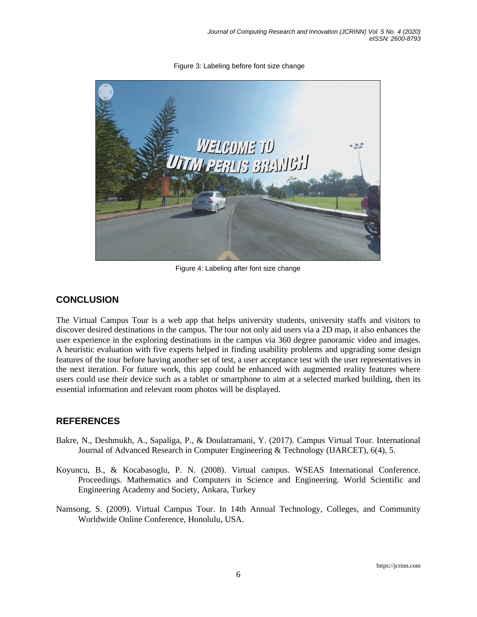Figure 3: Labeling before font size change



Figure 4: Labeling after font size change

### **CONCLUSION**

The Virtual Campus Tour is a web app that helps university students, university staffs and visitors to discover desired destinations in the campus. The tour not only aid users via a 2D map, it also enhances the user experience in the exploring destinations in the campus via 360 degree panoramic video and images. A heuristic evaluation with five experts helped in finding usability problems and upgrading some design features of the tour before having another set of test, a user acceptance test with the user representatives in the next iteration. For future work, this app could be enhanced with augmented reality features where users could use their device such as a tablet or smartphone to aim at a selected marked building, then its essential information and relevant room photos will be displayed.

#### **REFERENCES**

- Bakre, N., Deshmukh, A., Sapaliga, P., & Doulatramani, Y. (2017). Campus Virtual Tour. International Journal of Advanced Research in Computer Engineering & Technology (IJARCET), 6(4), 5.
- Koyuncu, B., & Kocabasoglu, P. N. (2008). Virtual campus. WSEAS International Conference. Proceedings. Mathematics and Computers in Science and Engineering. World Scientific and Engineering Academy and Society, Ankara, Turkey
- Namsong, S. (2009). Virtual Campus Tour. In 14th Annual Technology, Colleges, and Community Worldwide Online Conference, Honolulu, USA.